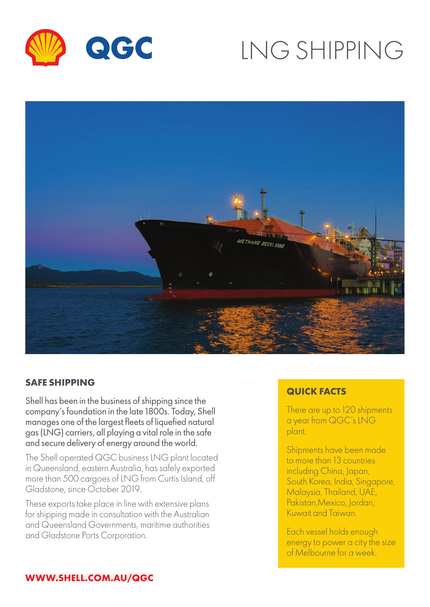

# LNG SHIPPING



#### **SAFE SHIPPING**

Shell has been in the business of shipping since the company's foundation in the late 1800s. Today, Shell manages one of the largest fleets of liquefied natural gas (LNG) carriers, all playing a vital role in the safe and secure delivery of energy around the world.

The Shell operated QGC business LNG plant located in Queensland, eastern Australia, has safely exported more than 500 cargoes of LNG from Curtis Island, off Gladstone, since October 2019.

These exports take place in line with extensive plans for shipping made in consultation with the Australian and Queensland Governments, maritime authorities and Gladstone Ports Corporation.

#### **QUICK FACTS**

There are up to 120 shipments a year from QGC's LNG plant.

Shipments have been made to more than 13 countries including China, Japan, South Korea, India, Singapore, Malaysia, Thailand, UAE, Pakistan,Mexico, Jordan, Kuwait and Taiwan.

Each vessel holds enough energy to power a city the size of Melbourne for a week.

#### **WWW.SHELL.COM.AU/QGC**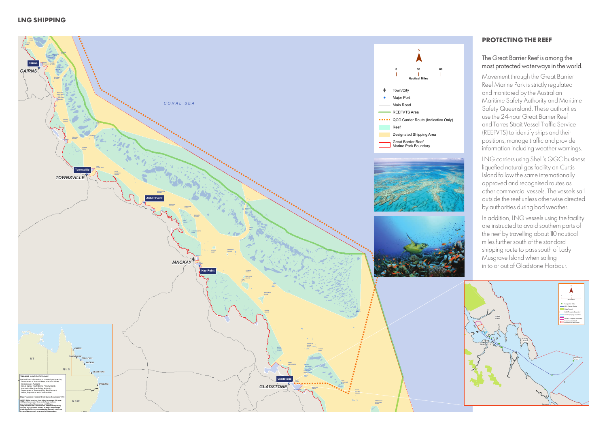**V III CC**



#### **LNG SHIPPING**